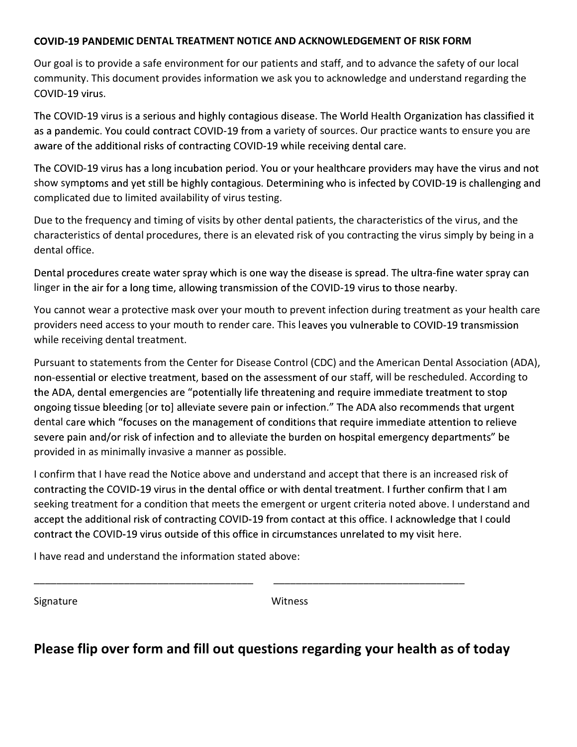## COVID-19 PANDEMIC DENTAL TREATMENT NOTICE AND ACKNOWLEDGEMENT OF RISK FORM

Our goal is to provide a safe environment for our patients and staff, and to advance the safety of our local community. This document provides information we ask you to acknowledge and understand regarding the COVID-19 virus.

The COVID-19 virus is a serious and highly contagious disease. The World Health Organization has classified it as a pandemic. You could contract COVID-19 from a variety of sources. Our practice wants to ensure you are aware of the additional risks of contracting COVID-19 while receiving dental care.

The COVID-19 virus has a long incubation period. You or your healthcare providers may have the virus and not show symptoms and yet still be highly contagious. Determining who is infected by COVID-19 is challenging and complicated due to limited availability of virus testing.

Due to the frequency and timing of visits by other dental patients, the characteristics of the virus, and the characteristics of dental procedures, there is an elevated risk of you contracting the virus simply by being in a dental office.

Dental procedures create water spray which is one way the disease is spread. The ultra-fine water spray can linger in the air for a long time, allowing transmission of the COVID-19 virus to those nearby.

You cannot wear a protective mask over your mouth to prevent infection during treatment as your health care providers need access to your mouth to render care. This l while receiving dental treatment.

Pursuant to statements from the Center for Disease Control (CDC) and the American Dental Association (ADA), non-essential or elective treatment, based on the assessment of our staff, will be rescheduled. According to the ADA, dental emergencies are "potentially life threatening and require immediate treatment to stop ongoing tissue bleeding [or to] alleviate severe pain or infection." The ADA also recommends that urgent dental care which "focuses on the management of conditions that require immediate attention to relieve severe pain and/or risk of infection and to alleviate the burden on hospital emergency departments" be provided in as minimally invasive a manner as possible.

I confirm that I have read the Notice above and understand and accept that there is an increased risk of contracting the COVID-19 virus in the dental office or with dental treatment. I further confirm that I am seeking treatment for a condition that meets the emergent or urgent criteria noted above. I understand and accept the additional risk of contracting COVID-19 from contact at this office. I acknowledge that I could contract the COVID-19 virus outside of this office in circumstances unrelated to my visit here.

I have read and understand the information stated above:

Signature Witness

## Please flip over form and fill out questions regarding your health as of today

\_\_\_\_\_\_\_\_\_\_\_\_\_\_\_\_\_\_\_\_\_\_\_\_\_\_\_\_\_\_\_\_\_\_\_\_\_\_\_ \_\_\_\_\_\_\_\_\_\_\_\_\_\_\_\_\_\_\_\_\_\_\_\_\_\_\_\_\_\_\_\_\_\_